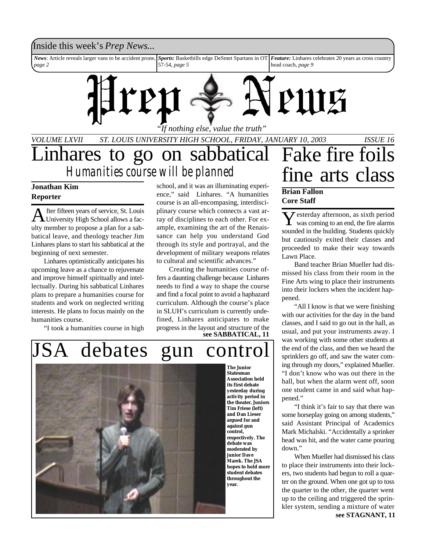#### Inside this week's *Prep News*...

*News*: Article reveals larger vans to be accident prone, *page 2 Sports:* Basketbills edge DeSmet Spartans in OT *Feature:* Linhares celebrates 20 years as cross country 57-54, *page 5* head coach, *page 9*



*VOLUME LXVII ST. LOUIS UNIVERSITY HIGH SCHOOL, FRIDAY, JANUARY 10, 2003 ISSUE 16*

Linhares to go on sabbatical fine arts class *Humanities course will be planned*

#### **Jonathan Kim Reporter**

A fter fifteen years of service, St. Louis<br>University High School allows a facfter fifteen years of service, St. Louis ulty member to propose a plan for a sabbatical leave, and theology teacher Jim Linhares plans to start his sabbatical at the beginning of next semester.

Linhares optimistically anticipates his upcoming leave as a chance to rejuvenate and improve himself spiritually and intellectually. During his sabbatical Linhares plans to prepare a humanities course for students and work on neglected writing interests. He plans to focus mainly on the humanities course.

"I took a humanities course in high

school, and it was an illuminating experience," said Linhares. "A humanities course is an all-encompasing, interdisciplinary course which connects a vast array of disciplines to each other. For example, examining the art of the Renaissance can help you understand God through its style and portrayal, and the development of military weapons relates to cultural and scientific advances."

Creating the humanities course offers a daunting challenge because Linhares needs to find a way to shape the course and find a focal point to avoid a haphazard curriculum. Although the course's place in SLUH's curriculum is currently undefined, Linhares anticipates to make progress in the layout and structure of the **see SABBATICAL, 11**

# Fake fire foils

#### **Brian Fallon Core Staff**

Y esterday afternoon, as sixth period<br>was coming to an end, the fire alarms was coming to an end, the fire alarms sounded in the building. Students quickly but cautiously exited their classes and proceeded to make their way towards Lawn Place.

Band teacher Brian Mueller had dismissed his class from their room in the Fine Arts wing to place their instruments into their lockers when the incident happened.

"All I know is that we were finishing with our activities for the day in the band classes, and I said to go out in the hall, as usual, and put your instruments away. I was working with some other students at the end of the class, and then we heard the sprinklers go off, and saw the water coming through my doors," explained Mueller. "I don't know who was out there in the hall, but when the alarm went off, soon one student came in and said what happened."

"I think it's fair to say that there was some horseplay going on among students," said Assistant Principal of Academics Mark Michalski. "Accidentally a sprinker head was hit, and the water came pouring down."

When Mueller had dismissed his class to place their instruments into their lockers, two students had begun to roll a quarter on the ground. When one got up to toss the quarter to the other, the quarter went up to the ceiling and triggered the sprinkler system, sending a mixture of water **see STAGNANT, 11**

# JSA debates gun control



**The Junior Statesman Association held its first debate yesterday during activity period in the theater. Juniors Tim Friese (left) and Dan Lieser argued for and against gun control, respectively. The debate was moderated by junior Dave Marek. The JSA hopes to hold more student debates throughout the year.**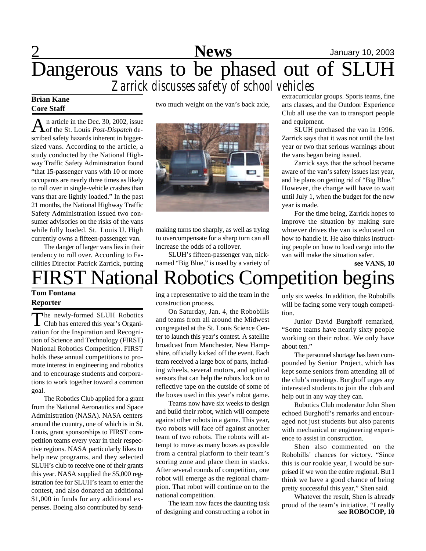# 2 **News** January 10, 2003 Dangerous vans to be phased out of SLUH *Zarrick discusses safety of school vehicles*

#### **Brian Kane Core Staff**

An article in the Dec. 30, 2002, issue<br>of the St. Louis *Post-Dispatch* den article in the Dec. 30, 2002, issue scribed safety hazards inherent in biggersized vans. According to the article, a study conducted by the National Highway Traffic Safety Administration found "that 15-passenger vans with 10 or more occupants are nearly three times as likely to roll over in single-vehicle crashes than vans that are lightly loaded." In the past 21 months, the National Highway Traffic Safety Administration issued two consumer advisories on the risks of the vans while fully loaded. St. Louis U. High currently owns a fifteen-passenger van.

The danger of larger vans lies in their tendency to roll over. According to Facilities Director Patrick Zarrick, putting two much weight on the van's back axle,



making turns too sharply, as well as trying to overcompensate for a sharp turn can all increase the odds of a rollover.

SLUH's fifteen-passenger van, nicknamed "Big Blue," is used by a variety of extracurricular groups. Sports teams, fine arts classes, and the Outdoor Experience Club all use the van to transport people and equipment.

SLUH purchased the van in 1996. Zarrick says that it was not until the last year or two that serious warnings about the vans began being issued.

Zarrick says that the school became aware of the van's safety issues last year, and he plans on getting rid of "Big Blue." However, the change will have to wait until July 1, when the budget for the new year is made.

For the time being, Zarrick hopes to improve the situation by making sure whoever drives the van is educated on how to handle it. He also thinks instructing people on how to load cargo into the van will make the situation safer.

**see VANS, 10**

# FIRST National Robotics Competition begins

#### **Tom Fontana Reporter**

The newly-formed SLUH Robotics<br>Club has entered this year's Organihe newly-formed SLUH Robotics zation for the Inspiration and Recognition of Science and Technology (FIRST) National Robotics Competition. FIRST holds these annual competitions to promote interest in engineering and robotics and to encourage students and corporations to work together toward a common goal.

The Robotics Club applied for a grant from the National Aeronautics and Space Administration (NASA). NASA centers around the country, one of which is in St. Louis, grant sponsorships to FIRST competition teams every year in their respective regions. NASA particularly likes to help new programs, and they selected SLUH's club to receive one of their grants this year. NASA supplied the \$5,000 registration fee for SLUH's team to enter the contest, and also donated an additional \$1,000 in funds for any additional expenses. Boeing also contributed by sending a representative to aid the team in the construction process.

On Saturday, Jan. 4, the Robobills and teams from all around the Midwest congregated at the St. Louis Science Center to launch this year's contest. A satellite broadcast from Manchester, New Hampshire, officially kicked off the event. Each team received a large box of parts, including wheels, several motors, and optical sensors that can help the robots lock on to reflective tape on the outside of some of the boxes used in this year's robot game.

Teams now have six weeks to design and build their robot, which will compete against other robots in a game. This year, two robots will face off against another team of two robots. The robots will attempt to move as many boxes as possible from a central platform to their team's scoring zone and place them in stacks. After several rounds of competition, one robot will emerge as the regional champion. That robot will continue on to the national competition.

The team now faces the daunting task of designing and constructing a robot in

only six weeks. In addition, the Robobills will be facing some very tough competition.

Junior David Burghoff remarked, "Some teams have nearly sixty people working on their robot. We only have about ten."

The personnel shortage has been compounded by Senior Project, which has kept some seniors from attending all of the club's meetings. Burghoff urges any interested students to join the club and help out in any way they can.

Robotics Club moderator John Shen echoed Burghoff's remarks and encouraged not just students but also parents with mechanical or engineering experience to assist in construction.

Shen also commented on the Robobills' chances for victory. "Since this is our rookie year, I would be surprised if we won the entire regional. But I think we have a good chance of being pretty successful this year," Shen said.

Whatever the result, Shen is already proud of the team's initiative. "I really **see ROBOCOP, 10**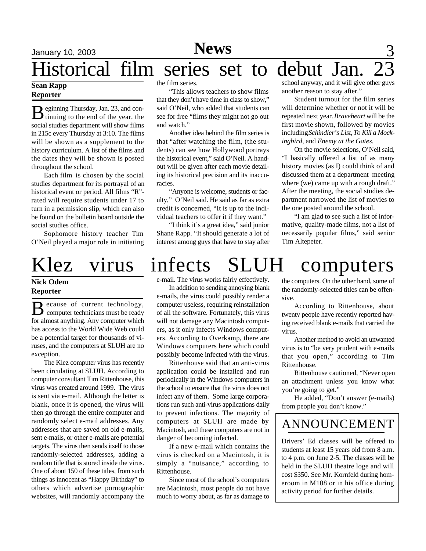# Historical film series set to debut Jan.

#### **Sean Rapp Reporter**

B eginning Thursday, Jan. 23, and con-<br>tinuing to the end of the year, the tinuing to the end of the year, the social studies department will show films in 215c every Thursday at 3:10. The films will be shown as a supplement to the history curriculum. A list of the films and the dates they will be shown is posted throughout the school.

Each film is chosen by the social studies department for its portrayal of an historical event or period. All films "R" rated will require students under 17 to turn in a permission slip, which can also be found on the bulletin board outside the social studies office.

Sophomore history teacher Tim O'Neil played a major role in initiating

# Klez virus infects SLUH computers

#### **Nick Odem Reporter**

**B** ecause of current technology, ecause of current technology, for almost anything. Any computer which has access to the World Wide Web could be a potential target for thousands of viruses, and the computers at SLUH are no exception.

The Klez computer virus has recently been circulating at SLUH. According to computer consultant Tim Rittenhouse, this virus was created around 1999. The virus is sent via e-mail. Although the letter is blank, once it is opened, the virus will then go through the entire computer and randomly select e-mail addresses. Any addresses that are saved on old e-mails, sent e-mails, or other e-mails are potential targets. The virus then sends itself to those randomly-selected addresses, adding a random title that is stored inside the virus. One of about 150 of these titles, from such things as innocent as "Happy Birthday" to others which advertise pornographic websites, will randomly accompany the

the film series.

"This allows teachers to show films that they don't have time in class to show," said O'Neil, who added that students can see for free "films they might not go out and watch."

Another idea behind the film series is that "after watching the film, (the students) can see how Hollywood portrays the historical event," said O'Neil. A handout will be given after each movie detailing its historical precision and its inaccuracies.

"Anyone is welcome, students or faculty," O'Neil said. He said as far as extra credit is concerned, "It is up to the individual teachers to offer it if they want."

"I think it's a great idea," said junior Shane Rapp. "It should generate a lot of interest among guys that have to stay after

#### school anyway, and it will give other guys another reason to stay after."

Student turnout for the film series will determine whether or not it will be repeated next year. *Braveheart* will be the first movie shown, followed by movies including *Schindler's List*, *To Kill a Mockingbird*, and *Enemy at the Gates*.

On the movie selections, O'Neil said, "I basically offered a list of as many history movies (as I) could think of and discussed them at a department meeting where (we) came up with a rough draft." After the meeting, the social studies department narrowed the list of movies to the one posted around the school.

"I am glad to see such a list of informative, quality-made films, not a list of necessarily popular films," said senior Tim Altepeter.

### e-mail. The virus works fairly effectively.

In addition to sending annoying blank e-mails, the virus could possibly render a computer useless, requiring reinstallation of all the software. Fortunately, this virus will not damage any Macintosh computers, as it only infects Windows computers. According to Overkamp, there are Windows computers here which could possibly become infected with the virus.

Rittenhouse said that an anti-virus application could be installed and run periodically in the Windows computers in the school to ensure that the virus does not infect any of them. Some large corporations run such anti-virus applications daily to prevent infections. The majority of computers at SLUH are made by Macintosh, and these computers are not in danger of becoming infected.

If a new e-mail which contains the virus is checked on a Macintosh, it is simply a "nuisance," according to Rittenhouse.

Since most of the school's computers are Macintosh, most people do not have much to worry about, as far as damage to

the computers. On the other hand, some of the randomly-selected titles can be offensive.

According to Rittenhouse, about twenty people have recently reported having received blank e-mails that carried the virus.

Another method to avoid an unwanted virus is to "be very prudent with e-mails that you open," according to Tim Rittenhouse.

Rittenhouse cautioned, "Never open an attachment unless you know what you're going to get."

He added, "Don't answer (e-mails) from people you don't know."

### ANNOUNCEMENT

Drivers' Ed classes will be offered to students at least 15 years old from 8 a.m. to 4 p.m. on June 2-5. The classes will be held in the SLUH theatre loge and will cost \$350. See Mr. Kornfeld during homeroom in M108 or in his office during activity period for further details.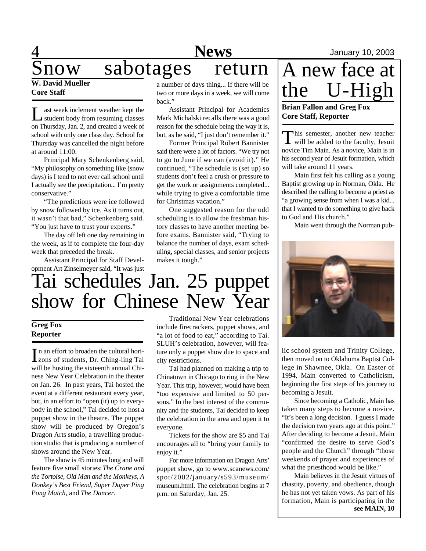# 4 **News** January 10, 2003

# now sabotages return

#### **W. David Mueller Core Staff**

L ast week inclement weather kept the student body from resuming classes on Thursday, Jan. 2, and created a week of school with only one class day. School for Thursday was cancelled the night before at around 11:00.

Principal Mary Schenkenberg said, "My philosophy on something like (snow days) is I tend to not ever call school until I actually see the precipitation... I'm pretty conservative."

"The predictions were ice followed by snow followed by ice. As it turns out, it wasn't that bad," Schenkenberg said. "You just have to trust your experts."

The day off left one day remaining in the week, as if to complete the four-day week that preceded the break.

Assistant Principal for Staff Development Art Zinselmeyer said, "It was just a number of days thing... If there will be two or more days in a week, we will come back."

Assistant Principal for Academics Mark Michalski recalls there was a good reason for the schedule being the way it is, but, as he said, "I just don't remember it."

Former Principal Robert Bannister said there were a lot of factors. "We try not to go to June if we can (avoid it)." He continued, "The schedule is (set up) so students don't feel a crush or pressure to get the work or assignments completed... while trying to give a comfortable time for Christmas vacation."

One suggested reason for the odd scheduling is to allow the freshman history classes to have another meeting before exams. Bannister said, "Trying to balance the number of days, exam scheduling, special classes, and senior projects makes it tough."

# Tai schedules Jan. 25 puppet show for Chinese New Year

#### **Greg Fox Reporter**

In an effort to broaden the cultural horizons of students, Dr. Ching-ling Tai n an effort to broaden the cultural horiwill be hosting the sixteenth annual Chinese New Year Celebration in the theater on Jan. 26. In past years, Tai hosted the event at a different restaurant every year, but, in an effort to "open (it) up to everybody in the school," Tai decided to host a puppet show in the theatre. The puppet show will be produced by Oregon's Dragon Arts studio, a travelling production studio that is producing a number of shows around the New Year.

The show is 45 minutes long and will feature five small stories: *The Crane and the Tortoise, Old Man and the Monkeys, A Donkey's Best Friend, Super Duper Ping Pong Match,* and *The Dancer*.

Traditional New Year celebrations include firecrackers, puppet shows, and "a lot of food to eat," according to Tai. SLUH's celebration, however, will feature only a puppet show due to space and city restrictions.

Tai had planned on making a trip to Chinatown in Chicago to ring in the New Year. This trip, however, would have been "too expensive and limited to 50 persons." In the best interest of the community and the students, Tai decided to keep the celebration in the area and open it to everyone.

Tickets for the show are \$5 and Tai encourages all to "bring your family to enjoy it."

For more information on Dragon Arts' puppet show, go to www.scanews.com/ spot/2002/january/s593/museum/ museum.html. The celebration begins at 7 p.m. on Saturday, Jan. 25.

A new face at the U-High

#### **Brian Fallon and Greg Fox Core Staff, Reporter**

This semester, another new teacher<br>will be added to the faculty, Jesuit his semester, another new teacher novice Tim Main. As a novice, Main is in his second year of Jesuit formation, which will take around 11 years.

Main first felt his calling as a young Baptist growing up in Norman, Okla. He described the calling to become a priest as "a growing sense from when I was a kid... that I wanted to do something to give back to God and His church."

Main went through the Norman pub-



lic school system and Trinity College, then moved on to Oklahoma Baptist College in Shawnee, Okla. On Easter of 1994, Main converted to Catholicism, beginning the first steps of his journey to becoming a Jesuit.

Since becoming a Catholic, Main has taken many steps to become a novice. "It's been a long decision. I guess I made the decision two years ago at this point." After deciding to become a Jesuit, Main "confirmed the desire to serve God's people and the Church" through "those weekends of prayer and experiences of what the priesthood would be like."

Main believes in the Jesuit virtues of chastity, poverty, and obedience, though he has not yet taken vows. As part of his formation, Main is participating in the **see MAIN, 10**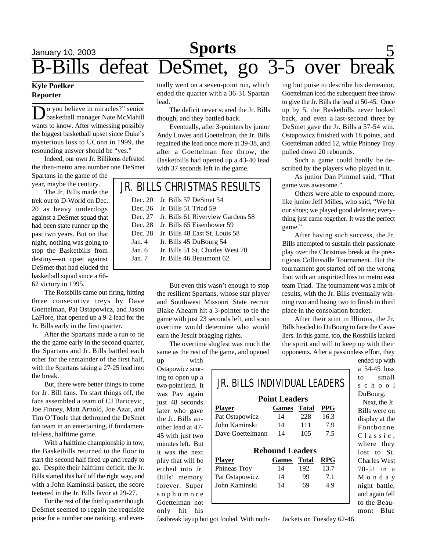# **Sports** 5 B-Bills defeat DeSmet, go 3-5 over break

#### **Kyle Poelker Reporter**

Do you believe in miracles?" senior<br>wants to know. After witnessing possibly o you believe in miracles?" senior basketball manager Nate McMahill the biggest basketball upset since Duke's mysterious loss to UConn in 1999, the resounding answer should be "yes."

Indeed, our own Jr. Billikens defeated the then-metro area number one DeSmet

Spartans in the game of the year, maybe the century.

The Jr. Bills made the trek out to D-World on Dec. 20 as heavy underdogs against a DeSmet squad that had been state runner up the past two years. But on that night, nothing was going to stop the Basketbills from destiny—an upset against DeSmet that had eluded the basketball squad since a 66- 62 victory in 1995.

The Rossbills came out firing, hitting three consecutive treys by Dave Goettelman, Pat Ostapowicz, and Jason LaFlore, that opened up a 9-2 lead for the Jr. Bills early in the first quarter.

After the Spartans made a run to tie the the game early in the second quarter, the Spartans and Jr. Bills battled each other for the remainder of the first half, with the Spartans taking a 27-25 lead into the break.

But, there were better things to come for Jr. Bill fans. To start things off, the fans assembled a team of CJ Baricevic, Joe Finney, Matt Arnold, Joe Azar, and Tim O'Toole that dethroned the DeSmet fan team in an entertaining, if fundamental-less, halftime game.

With a halftime championship in tow, the Basketbills returned to the floor to start the second half fired up and ready to go. Despite their halftime deficit, the Jr. Bills started this half off the right way, and with a John Kaminski basket, the score teetered in the Jr. Bills favor at 29-27.

For the rest of the third quarter though, DeSmet seemed to regain the requisite poise for a number one ranking, and eventually went on a seven-point run, which ended the quarter with a 36-31 Spartan lead.

The deficit never scared the Jr. Bills though, and they battled back.

Eventually, after 3-pointers by junior Andy Lowes and Goettelman, the Jr. Bills regained the lead once more at 39-38, and after a Goettelman free throw, the Basketbills had opened up a 43-40 lead with 37 seconds left in the game.

### JR. BILLS CHRISTMAS RESULTS

|          | Dec. 20 Jr. Bills 57 DeSmet 54            |
|----------|-------------------------------------------|
|          | Dec. 26 Jr. Bills 51 Triad 59             |
|          | Dec. 27 Jr. Bills 61 Riverview Gardens 58 |
|          | Dec. 28 Jr. Bills 65 Eisenhower 59        |
|          | Dec. 28 Jr. Bills 48 East St. Louis 58    |
| Jan.4    | Jr. Bills 45 DuBourg 54                   |
| Jan. 6   | Jr. Bills 51 St. Charles West 70          |
| Jan. $7$ | Jr. Bills 46 Beaumont 62                  |
|          |                                           |

But even this wasn't enough to stop the resilient Spartans, whose star player and Southwest Missouri State recruit Blake Ahearn hit a 3-pointer to tie the game with just 23 seconds left, and soon overtime would determine who would earn the Jesuit bragging rights.

The overtime slugfest was much the same as the rest of the game, and opened

up with Ostapowicz scoring to open up a two-point lead. It was Pav again just 48 seconds later who gave the Jr. Bills another lead at 47- 45 with just two minutes left. But it was the next play that will be etched into Jr. Bills' memory forever. Super s o p h o m o r e Goettelman not only hit his

| JR. BILLS INDIVIDUAL LEADERS |                        |     |            |  |  |
|------------------------------|------------------------|-----|------------|--|--|
| <b>Point Leaders</b>         |                        |     |            |  |  |
| <b>Player</b>                | Games Total            |     | <b>PPG</b> |  |  |
| Pat Ostapowicz               | 14                     | 228 | 16.3       |  |  |
| John Kaminski                | 14                     | 111 | 7.9        |  |  |
| Dave Goettelmann             | 14                     | 105 | 7.5        |  |  |
|                              | <b>Rebound Leaders</b> |     |            |  |  |
| <b>Player</b>                | <b>Games</b> Total     |     | <b>RPG</b> |  |  |
| Phineas Troy                 | 14                     | 192 | 13.7       |  |  |
| Pat Ostapowicz               | 14                     | 99  | 7.1        |  |  |
| John Kaminski                | 14                     | 69  | 4.9        |  |  |

ing but poise to describe his demeanor, Goettelman iced the subsequent free throw to give the Jr. Bills the lead at 50-45. Once up by 5, the Basketbills never looked back, and even a last-second three by DeSmet gave the Jr. Bills a 57-54 win. Ostapowicz finished with 18 points, and Goettelman added 12, while Phinney Troy pulled down 20 rebounds.

Such a game could hardly be described by the players who played in it.

As junior Dan Pimmel said, "That game was awesome."

Others were able to expound more, like junior Jeff Milles, who said, "We hit our shots; we played good defense; everything just came together. It was the perfect game."

After having such success, the Jr. Bills attempted to sustain their passionate play over the Christmas break at the prestigious Collinsville Tournament. But the tournament got started off on the wrong foot with an unspirited loss to metro east team Triad. The tournament was a mix of results, with the Jr. Bills eventually winning two and losing two to finish in third place in the consolation bracket.

After their stint in Illinois, the Jr. Bills headed to DuBourg to face the Cavaliers. In this game, too, the Rossbills lacked the spirit and will to keep up with their opponents. After a passionless effort, they

> ended up with a 54-45 loss to small s c h o o l DuBourg.

> Next, the Jr. Bills were on display at the Fontbonne Classic, where they lost to St. Charles West 70-51 in a M o n d a y night battle, and again fell to the Beaumont Blue

fastbreak layup but got fouled. With noth-

Jackets on Tuesday 62-46.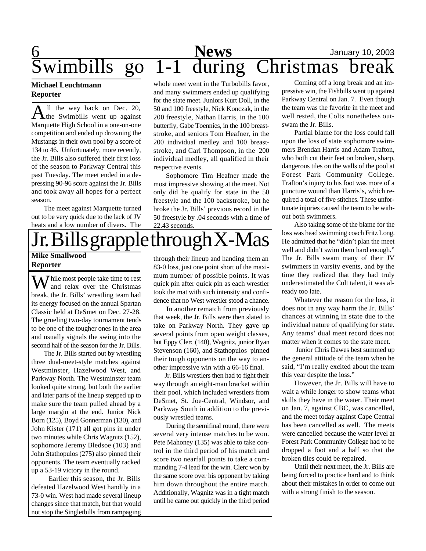# 6 **News** January 10, 2003 News January 10, 20<br>Wimbills go 1-1 during Christmas brea

#### **Michael Leuchtmann Reporter**

All the way back on Dec. 20,<br>the Swimbills went up against ll the way back on Dec. 20, Marquette High School in a one-on-one competition and ended up drowning the Mustangs in their own pool by a score of 134 to 46. Unfortunately, more recently, the Jr. Bills also suffered their first loss of the season to Parkway Central this past Tuesday. The meet ended in a depressing 90-96 score against the Jr. Bills and took away all hopes for a perfect season.

The meet against Marquette turned out to be very quick due to the lack of JV heats and a low number of divers. The whole meet went in the Turbobills favor, and many swimmers ended up qualifying for the state meet. Juniors Kurt Doll, in the 50 and 100 freestyle, Nick Konczak, in the 200 freestyle, Nathan Harris, in the 100 butterfly, Gabe Toennies, in the 100 breaststroke, and seniors Tom Heafner, in the 200 individual medley and 100 breaststroke, and Carl Thompson, in the 200 individual medley, all qualified in their respective events.

Sophomore Tim Heafner made the most impressive showing at the meet. Not only did he qualify for state in the 50 freestyle and the 100 backstroke, but he broke the Jr. Bills' previous record in the 50 freestyle by .04 seconds with a time of 22.43 seconds.



#### **Reporter**

While most people take time to rest<br>and relax over the Christmas break, the Jr. Bills' wrestling team had its energy focused on the annual Spartan Classic held at DeSmet on Dec. 27-28. The grueling two-day tournament tends to be one of the tougher ones in the area and usually signals the swing into the second half of the season for the Jr. Bills.

The Jr. Bills started out by wrestling three dual-meet-style matches against Westminster, Hazelwood West, and Parkway North. The Westminster team looked quite strong, but both the earlier and later parts of the lineup stepped up to make sure the team pulled ahead by a large margin at the end. Junior Nick Born (125), Boyd Gonnerman (130), and John Kister (171) all got pins in under two minutes while Chris Wagnitz (152), sophomore Jeremy Bledsoe (103) and John Stathopulos (275) also pinned their opponents. The team eventually racked up a 53-19 victory in the round.

 Earlier this season, the Jr. Bills defeated Hazelwood West handily in a 73-0 win. West had made several lineup changes since that match, but that would not stop the Singletbills from rampaging

83-0 loss, just one point short of the maximum number of possible points. It was quick pin after quick pin as each wrestler took the mat with such intensity and confidence that no West wrestler stood a chance.

 In another rematch from previously that week, the Jr. Bills were then slated to take on Parkway North. They gave up several points from open weight classes, but Eppy Clerc (140), Wagnitz, junior Ryan Stevenson (160), and Stathopulos pinned their tough opponents on the way to another impressive win with a 66-16 final.

 Jr. Bills wrestlers then had to fight their way through an eight-man bracket within their pool, which included wrestlers from DeSmet, St. Joe-Central, Windsor, and Parkway South in addition to the previously wrestled teams.

During the semifinal round, there were several very intense matches to be won. Pete Mahoney (135) was able to take control in the third period of his match and score two nearfall points to take a commanding 7-4 lead for the win. Clerc won by the same score over his opponent by taking him down throughout the entire match. Additionally, Wagnitz was in a tight match until he came out quickly in the third period

Coming off a long break and an impressive win, the Fishbills went up against Parkway Central on Jan. 7. Even though the team was the favorite in the meet and well rested, the Colts nonetheless outswam the Jr. Bills.

Partial blame for the loss could fall upon the loss of state sophomore swimmers Brendan Harris and Adam Trafton, who both cut their feet on broken, sharp, dangerous tiles on the walls of the pool at Forest Park Community College. Trafton's injury to his foot was more of a puncture wound than Harris's, which required a total of five stitches. These unfortunate injuries caused the team to be without both swimmers.

Also taking some of the blame for the loss was head swimming coach Fritz Long. He admitted that he "didn't plan the meet well and didn't swim them hard enough." The Jr. Bills swam many of their JV swimmers in varsity events, and by the time they realized that they had truly underestimated the Colt talent, it was already too late.

Whatever the reason for the loss, it does not in any way harm the Jr. Bills' chances at winning in state due to the individual nature of qualifying for state. Any teams' dual meet record does not matter when it comes to the state meet.

 Junior Chris Dawes best summed up the general attitude of the team when he said, "I'm really excited about the team this year despite the loss."

However, the Jr. Bills will have to wait a while longer to show teams what skills they have in the water. Their meet on Jan. 7, against CBC, was cancelled, and the meet today against Cape Central has been cancelled as well. The meets were cancelled because the water level at Forest Park Community College had to be dropped a foot and a half so that the broken tiles could be repaired.

Until their next meet, the Jr. Bills are being forced to practice hard and to think about their mistakes in order to come out with a strong finish to the season.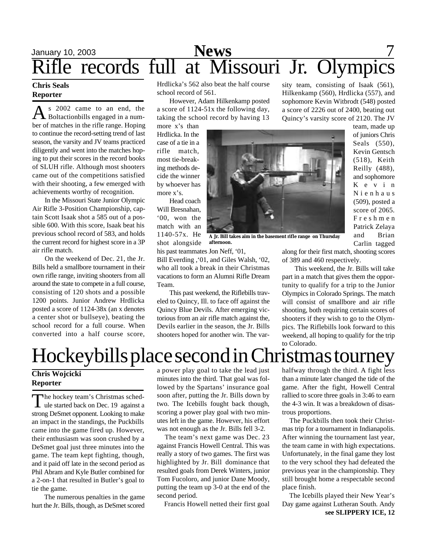# January 10, 2003 **News** 7 Rifle records full at Missouri Jr. Olympics

#### **Chris Seals Reporter**

A s 2002 came to an end, the<br>Boltactionbills engaged in a nums 2002 came to an end, the ber of matches in the rifle range. Hoping to continue the record-setting trend of last season, the varsity and JV teams practiced diligently and went into the matches hoping to put their scores in the record books of SLUH rifle. Although most shooters came out of the competitions satisfied with their shooting, a few emerged with achievements worthy of recognition.

In the Missouri State Junior Olympic Air Rifle 3-Position Championship, captain Scott Isaak shot a 585 out of a possible 600. With this score, Isaak beat his previous school record of 583, and holds the current record for highest score in a 3P air rifle match.

On the weekend of Dec. 21, the Jr. Bills held a smallbore tournament in their own rifle range, inviting shooters from all around the state to compete in a full course, consisting of 120 shots and a possible 1200 points. Junior Andrew Hrdlicka posted a score of 1124-38x (an x denotes a center shot or bullseye), beating the school record for a full course. When converted into a half course score,

Hrdlicka's 562 also beat the half course school record of 561.

However, Adam Hilkenkamp posted a score of 1124-51x the following day, taking the school record by having 13

more x's than Hrdlicka. In the case of a tie in a rifle match, most tie-breaking methods decide the winner by whoever has more x's.

Head coach Will Bresnahan, '00, won the match with an 1140-57x. He shot alongside



**A Jr. Bill takes aim in the basement rifle range on Thursday afternoon.**

his past teammates Jon Neff, '01,

Bill Everding ,'01, and Giles Walsh, '02, who all took a break in their Christmas vacations to form an Alumni Rifle Dream Team.

This past weekend, the Riflebills traveled to Quincy, Ill. to face off against the Quincy Blue Devils. After emerging victorious from an air rifle match against the, Devils earlier in the season, the Jr. Bills shooters hoped for another win. The varsity team, consisting of Isaak (561), Hilkenkamp (560), Hrdlicka (557), and sophomore Kevin Witbrodt (548) posted a score of 2226 out of 2400, beating out Quincy's varsity score of 2120. The JV

> team, made up of juniors Chris Seals (550), Kevin Gentsch (518), Keith Reilly (488), and sophomore K e v i n N i e n h a u s (509), posted a score of 2065. F r e s h m e n Patrick Zelaya and Brian Carlin tagged

along for their first match, shooting scores of 389 and 460 respectively.

This weekend, the Jr. Bills will take part in a match that gives them the opportunity to qualify for a trip to the Junior Olympics in Colorado Springs. The match will consist of smallbore and air rifle shooting, both requiring certain scores of shooters if they wish to go to the Olympics. The Riflebills look forward to this weekend, all hoping to qualify for the trip to Colorado.

# Hockeybills place second in Christmas tourney

#### **Chris Wojcicki Reporter**

The hockey team's Christmas sched-<br>
ule started back on Dec. 19 against a he hockey team's Christmas schedstrong DeSmet opponent. Looking to make an impact in the standings, the Puckbills came into the game fired up. However, their enthusiasm was soon crushed by a DeSmet goal just three minutes into the game. The team kept fighting, though, and it paid off late in the second period as Phil Abram and Kyle Butler combined for a 2-on-1 that resulted in Butler's goal to tie the game.

The numerous penalties in the game hurt the Jr. Bills, though, as DeSmet scored

a power play goal to take the lead just minutes into the third. That goal was followed by the Spartans' insurance goal soon after, putting the Jr. Bills down by two. The Icebills fought back though, scoring a power play goal with two minutes left in the game. However, his effort was not enough as the Jr. Bills fell 3-2.

 The team's next game was Dec. 23 against Francis Howell Central. This was really a story of two games. The first was highlighted by Jr. Bill dominance that resulted goals from Derek Winters, junior Tom Fucoloro, and junior Dane Moody, putting the team up 3-0 at the end of the second period.

Francis Howell netted their first goal

halfway through the third. A fight less than a minute later changed the tide of the game. After the fight, Howell Central rallied to score three goals in 3:46 to earn the 4-3 win. It was a breakdown of disastrous proportions.

 The Puckbills then took their Christmas trip for a tournament in Indianapolis. After winning the tournament last year, the team came in with high expectations. Unfortunately, in the final game they lost to the very school they had defeated the previous year in the championship. They still brought home a respectable second place finish.

 The Icebills played their New Year's Day game against Lutheran South. Andy **see SLIPPERY ICE, 12**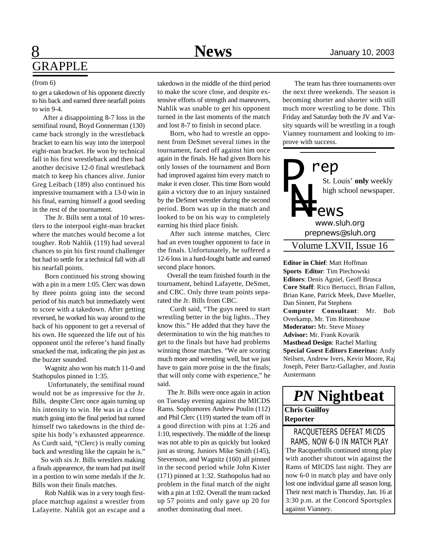# 8 **News** January 10, 2003 GRAPPLE

#### (from 6)

to get a takedown of his opponent directly to his back and earned three nearfall points to win 9-4.

 After a disappointing 8-7 loss in the semifinal round, Boyd Gonnerman (130) came back strongly in the wrestleback bracket to earn his way into the interpool eight-man bracket. He won by technical fall in his first wrestleback and then had another decisive 12-0 final wrestleback match to keep his chances alive. Junior Greg Leibach (189) also continued his impressive tournament with a 13-0 win in his final, earning himself a good seeding in the rest of the tournament.

The Jr. Bills sent a total of 10 wrestlers to the interpool eight-man bracket where the matches would become a lot tougher. Rob Nahlik (119) had several chances to pin his first round challenger but had to settle for a technical fall with all his nearfall points.

Born continued his strong showing with a pin in a mere 1:05. Clerc was down by three points going into the second period of his match but immediately went to score with a takedown. After getting reversed, he worked his way around to the back of his opponent to get a reversal of his own. He squeezed the life out of his opponent until the referee's hand finally smacked the mat, indicating the pin just as the buzzer sounded.

Wagnitz also won his match 11-0 and Stathopulos pinned in 1:35.

 Unfortunately, the semifinal round would not be as impressive for the Jr. Bills, despite Clerc once again turning up his intensity to win. He was in a close match going into the final period but earned himself two takedowns in the third despite his body's exhausted appearence. As Curdt said, "(Clerc) is really coming back and wrestling like the captain he is."

 So with six Jr. Bills wrestlers making a finals appearence, the team had put itself in a postion to win some medals if the Jr. Bills won their finals matches.

Rob Nahlik was in a very tough firstplace matchup against a wrestler from Lafayette. Nahlik got an escape and a takedown in the middle of the third period to make the score close, and despite extensive efforts of strength and maneuvers, Nahlik was unable to get his opponent turned in the last moments of the match and lost 8-7 to finish in second place.

Born, who had to wrestle an opponent from DeSmet several times in the tournament, faced off against him once again in the finals. He had given Born his only losses of the tournament and Born had improved against him every match to make it even closer. This time Born would gain a victory due to an injury sustained by the DeSmet wrestler during the second period. Born was up in the match and looked to be on his way to completely earning his third place finish.

After such intense matches, Clerc had an even tougher opponent to face in the finals. Unfortunately, he suffered a 12-6 loss in a hard-fought battle and earned second place honors.

 Overall the team finished fourth in the tournament, behind Lafayette, DeSmet, and CBC. Only three team points separated the Jr. Bills from CBC.

Curdt said, "The guys need to start wrestling better in the big lights...They know this." He added that they have the determination to win the big matches to get to the finals but have had problems winning those matches. "We are scoring much more and wrestling well, but we just have to gain more poise in the the finals; that will only come with experience," he said.

 The Jr. Bills were once again in action on Tuesday evening against the MICDS Rams. Sophomores Andrew Poulin (112) and Phil Clerc (119) started the team off in a good direction with pins at 1:26 and 1:10, respectively. The middle of the lineup was not able to pin as quickly but looked just as strong. Juniors Mike Smith (145), Stevenson, and Wagnitz (160) all pinned in the second period while John Kister (171) pinned at 1:32. Stathopolus had no problem in the final match of the night with a pin at 1:02. Overall the team racked up 57 points and only gave up 20 for another dominating dual meet.

 The team has three tournaments over the next three weekends. The season is becoming shorter and shorter with still much more wrestling to be done. This Friday and Saturday both the JV and Varsity squards will be wrestling in a tough Vianney tournament and looking to improve with success.



**Editor in Chief**: Matt Hoffman **Sports Editor**: Tim Piechowski **Editors**: Denis Agniel, Geoff Brusca **Core Staff**: Rico Bertucci, Brian Fallon, Brian Kane, Patrick Meek, Dave Mueller, Dan Sinnett, Pat Stephens **Computer Consultant**: Mr. Bob Overkamp, Mr. Tim Rittenhouse **Moderator:** Mr. Steve Missey **Advisor:** Mr. Frank Kovarik **Masthead Design**: Rachel Marling **Special Guest Editors Emeritus:** Andy Neilsen, Andrew Ivers, Kevin Moore, Raj Joseph, Peter Bartz-Gallagher, and Justin Austermann

## *PN* **Nightbeat**

#### **Chris Guilfoy Reporter**

The Racquetbills continued strong play with another shutout win against the Rams of MICDS last night. They are now 6-0 in match play and have only lost one individual game all season long. Their next match is Thursday, Jan. 16 at 3:30 p.m. at the Concord Sportsplex against Vianney. RACQUETEERS DEFEAT MICDS RAMS, NOW 6-0 IN MATCH PLAY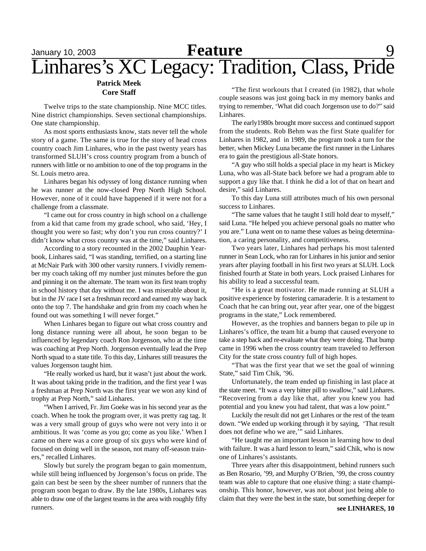### January 10, 2003 **Reature** 9 Linhares's XC Legacy: Tradition, Class, Pride **Feature**

#### **Patrick Meek Core Staff**

Twelve trips to the state championship. Nine MCC titles. Nine district championships. Seven sectional championships. One state championship.

As most sports enthusiasts know, stats never tell the whole story of a game. The same is true for the story of head cross country coach Jim Linhares, who in the past twenty years has transformed SLUH's cross country program from a bunch of runners with little or no ambition to one of the top programs in the St. Louis metro area.

Linhares began his odyssey of long distance running when he was runner at the now-closed Prep North High School. However, none of it could have happened if it were not for a challenge from a classmate.

"I came out for cross country in high school on a challenge from a kid that came from my grade school, who said, 'Hey, I thought you were so fast; why don't you run cross country?' I didn't know what cross country was at the time," said Linhares.

According to a story recounted in the 2002 Dauphin Yearbook, Linhares said, "I was standing, terrified, on a starting line at McNair Park with 300 other varsity runners. I vividly remember my coach taking off my number just minutes before the gun and pinning it on the alternate. The team won its first team trophy in school history that day without me. I was miserable about it, but in the JV race I set a freshman record and earned my way back onto the top 7. The handshake and grin from my coach when he found out was something I will never forget."

When Linhares began to figure out what cross country and long distance running were all about, he soon began to be influenced by legendary coach Ron Jorgenson, who at the time was coaching at Prep North. Jorgenson eventually lead the Prep North squad to a state title. To this day, Linhares still treasures the values Jorgenson taught him.

"He really worked us hard, but it wasn't just about the work. It was about taking pride in the tradition, and the first year I was a freshman at Prep North was the first year we won any kind of trophy at Prep North," said Linhares.

"When I arrived, Fr. Jim Goeke was in his second year as the coach. When he took the program over, it was pretty rag tag. It was a very small group of guys who were not very into it or ambitious. It was 'come as you go; come as you like.' When I came on there was a core group of six guys who were kind of focused on doing well in the season, not many off-season trainers," recalled Linhares.

Slowly but surely the program began to gain momentum, while still being influenced by Jorgenson's focus on pride. The gain can best be seen by the sheer number of runners that the program soon began to draw. By the late 1980s, Linhares was able to draw one of the largest teams in the area with roughly fifty runners.

"The first workouts that I created (in 1982), that whole couple seasons was just going back in my memory banks and trying to remember, 'What did coach Jorgenson use to do?" said Linhares.

The early1980s brought more success and continued support from the students. Rob Behm was the first State qualifer for Linhares in 1982, and in 1989, the program took a turn for the better, when Mickey Luna became the first runner in the Linhares era to gain the prestigious all-State honors.

"A guy who still holds a special place in my heart is Mickey Luna, who was all-State back before we had a program able to support a guy like that. I think he did a lot of that on heart and desire," said Linhares.

To this day Luna still attributes much of his own personal success to Linhares.

"The same values that he taught I still hold dear to myself," said Luna. "He helped you achieve personal goals no matter who you are." Luna went on to name these values as being determination, a caring personality, and competitiveness.

Two years later, Linhares had perhaps his most talented runner in Sean Lock, who ran for Linhares in his junior and senior years after playing football in his first two years at SLUH. Lock finished fourth at State in both years. Lock praised Linhares for his ability to lead a successful team.

"He is a great motivator. He made running at SLUH a positive experience by fostering camaraderie. It is a testament to Coach that he can bring out, year after year, one of the biggest programs in the state," Lock remembered.

However, as the trophies and banners began to pile up in Linhares's office, the team hit a bump that caused everyone to take a step back and re-evaluate what they were doing. That bump came in 1996 when the cross country team traveled to Jefferson City for the state cross country full of high hopes.

"That was the first year that we set the goal of winning State," said Tim Chik, '96.

Unfortunately, the team ended up finishing in last place at the state meet. "It was a very bitter pill to swallow," said Linhares. "Recovering from a day like that, after you knew you had potential and you knew you had talent, that was a low point."

Luckily the result did not get Linhares or the rest of the team down. "We ended up working through it by saying, 'That result does not define who we are,'" said Linhares.

"He taught me an important lesson in learning how to deal with failure. It was a hard lesson to learn," said Chik, who is now one of Linhares's assistants.

Three years after this disappointment, behind runners such as Ben Rosario, '99, and Murphy O'Brien, '99, the cross country team was able to capture that one elusive thing: a state championship. This honor, however, was not about just being able to claim that they were the best in the state, but something deeper for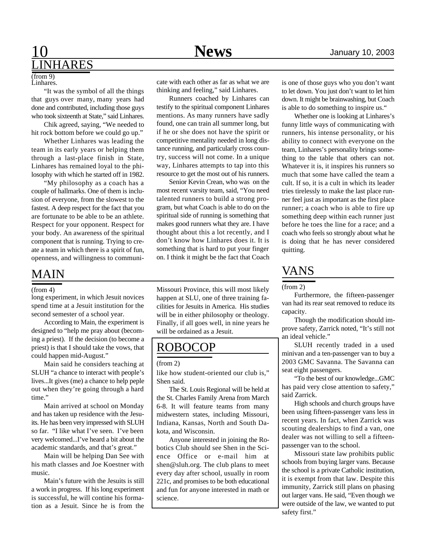### 10 January 10, 2003 **NHARES**

#### Linhares. (from 9)

"It was the symbol of all the things that guys over many, many years had done and contributed, including those guys who took sixteenth at State," said Linhares.

Chik agreed, saying, "We needed to hit rock bottom before we could go up."

Whether Linhares was leading the team in its early years or helping them through a last-place finish in State, Linhares has remained loyal to the philosophy with which he started off in 1982.

"My philosophy as a coach has a couple of hallmarks. One of them is inclusion of everyone, from the slowest to the fastest. A deep respect for the fact that you are fortunate to be able to be an athlete. Respect for your opponent. Respect for your body. An awareness of the spiritual component that is running. Trying to create a team in which there is a spirit of fun, openness, and willingness to communi-

### MAIN

#### (from 4)

long experiment, in which Jesuit novices spend time at a Jesuit institution for the second semester of a school year.

According to Main, the experiment is designed to "help me pray about (becoming a priest). If the decision (to become a priest) is that I should take the vows, that could happen mid-August."

Main said he considers teaching at SLUH "a chance to interact with people's lives...It gives (me) a chance to help peple out when they're going through a hard time."

Main arrived at school on Monday and has taken up residence with the Jesuits. He has been very impressed with SLUH so far. "I like what I've seen. I've been very welcomed...I've heard a bit about the academic standards, and that's great."

Main will be helping Dan See with his math classes and Joe Koestner with music.

Main's future with the Jesuits is still a work in progress. If his long experiment is successful, he will contine his formation as a Jesuit. Since he is from the cate with each other as far as what we are thinking and feeling," said Linhares.

Runners coached by Linhares can testify to the spiritual component Linhares mentions. As many runners have sadly found, one can train all summer long, but if he or she does not have the spirit or competitive mentality needed in long distance running, and particularly cross country, success will not come. In a unique way, Linhares attempts to tap into this resource to get the most out of his runners.

Senior Kevin Crean, who was on the most recent varsity team, said, "You need talented runners to build a strong program, but what Coach is able to do on the spiritual side of running is something that makes good runners what they are. I have thought about this a lot recently, and I don't know how Linhares does it. It is something that is hard to put your finger on. I think it might be the fact that Coach

Missouri Province, this will most likely happen at SLU, one of three training facilities for Jesuits in America. His studies will be in either philosophy or theology. Finally, if all goes well, in nine years he will be ordained as a Jesuit.

### ROBOCOP

#### (from 2)

like how student-oriented our club is," Shen said.

The St. Louis Regional will be held at the St. Charles Family Arena from March 6-8. It will feature teams from many midwestern states, including Missouri, Indiana, Kansas, North and South Dakota, and Wisconsin.

Anyone interested in joining the Robotics Club should see Shen in the Science Office or e-mail him at shen@sluh.org. The club plans to meet every day after school, usually in room 221c, and promises to be both educational and fun for anyone interested in math or science.

is one of those guys who you don't want to let down. You just don't want to let him down. It might be brainwashing, but Coach is able to do something to inspire us."

Whether one is looking at Linhares's funny little ways of communicating with runners, his intense personality, or his ability to connect with everyone on the team, Linhares's personality brings something to the table that others can not. Whatever it is, it inspires his runners so much that some have called the team a cult. If so, it is a cult in which its leader tries tirelessly to make the last place runner feel just as important as the first place runner; a coach who is able to fire up something deep within each runner just before he toes the line for a race; and a coach who feels so strongly about what he is doing that he has never considered quitting.

### VANS

(from 2)

Furthermore, the fifteen-passenger van had its rear seat removed to reduce its capacity.

Though the modification should improve safety, Zarrick noted, "It's still not an ideal vehicle."

SLUH recently traded in a used minivan and a ten-passenger van to buy a 2003 GMC Savanna. The Savanna can seat eight passengers.

"To the best of our knowledge...GMC has paid very close attention to safety," said Zarrick.

High schools and church groups have been using fifteen-passenger vans less in recent years. In fact, when Zarrick was scouting dealerships to find a van, one dealer was not willing to sell a fifteenpassenger van to the school.

Missouri state law prohibits public schools from buying larger vans. Because the school is a private Catholic institution, it is exempt from that law. Despite this immunity, Zarrick still plans on phasing out larger vans. He said, "Even though we were outside of the law, we wanted to put safety first."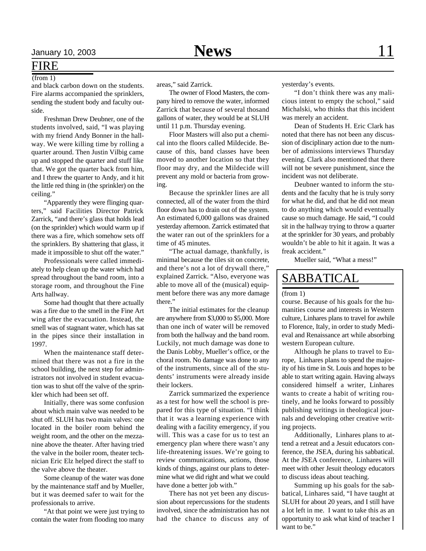### FIRE

(from 1)

and black carbon down on the students. Fire alarms accompanied the sprinklers, sending the student body and faculty outside.

Freshman Drew Deubner, one of the students involved, said, "I was playing with my friend Andy Bonner in the hallway. We were killing time by rolling a quarter around. Then Justin Vilbig came up and stopped the quarter and stuff like that. We got the quarter back from him, and I threw the quarter to Andy, and it hit the little red thing in (the sprinkler) on the ceiling."

"Apparently they were flinging quarters," said Facilities Director Patrick Zarrick, "and there's glass that holds lead (on the sprinkler) which would warm up if there was a fire, which somehow sets off the sprinklers. By shattering that glass, it made it impossible to shut off the water."

Professionals were called immediately to help clean up the water which had spread throughout the band room, into a storage room, and throughout the Fine Arts hallway.

Some had thought that there actually was a fire due to the smell in the Fine Art wing after the evacuation. Instead, the smell was of stagnant water, which has sat in the pipes since their installation in 1997.

When the maintenance staff determined that there was not a fire in the school building, the next step for administrators not involved in student evacuation was to shut off the valve of the sprinkler which had been set off.

Initially, there was some confusion about which main valve was needed to be shut off. SLUH has two main valves: one located in the boiler room behind the weight room, and the other on the mezzanine above the theater. After having tried the valve in the boiler room, theater technician Eric Elz helped direct the staff to the valve above the theater.

Some cleanup of the water was done by the maintenance staff and by Mueller, but it was deemed safer to wait for the professionals to arrive.

"At that point we were just trying to contain the water from flooding too many areas," said Zarrick.

The owner of Flood Masters, the company hired to remove the water, informed Zarrick that because of several thosand gallons of water, they would be at SLUH until 11 p.m. Thursday evening.

Floor Masters will also put a chemical into the floors called Mildecide. Because of this, band classes have been moved to another location so that they floor may dry, and the Mildecide will prevent any mold or bacteria from growing.

Because the sprinkler lines are all connected, all of the water from the third floor down has to drain out of the system. An estimated 6,000 gallons was drained yesterday afternoon. Zarrick estimated that the water ran out of the sprinklers for a time of 45 minutes.

"The actual damage, thankfully, is minimal because the tiles sit on concrete, and there's not a lot of drywall there," explained Zarrick. "Also, everyone was able to move all of the (musical) equipment before there was any more damage there."

The initial estimates for the cleanup are anywhere from \$3,000 to \$5,000. More than one inch of water will be removed from both the hallway and the band room. Luckily, not much damage was done to the Danis Lobby, Mueller's office, or the choral room. No damage was done to any of the instruments, since all of the students' instruments were already inside their lockers.

Zarrick summarized the experience as a test for how well the school is prepared for this type of situation. "I think that it was a learning experience with dealing with a facility emergency, if you will. This was a case for us to test an emergency plan where there wasn't any life-threatening issues. We're going to review communications, actions, those kinds of things, against our plans to determine what we did right and what we could have done a better job with."

There has not yet been any discussion about repercussions for the students involved, since the administration has not had the chance to discuss any of

yesterday's events.

"I don't think there was any malicious intent to empty the school," said Michalski, who thinks that this incident was merely an accident.

Dean of Students H. Eric Clark has noted that there has not been any discussion of disciplinary action due to the number of admissions interviews Thursday evening. Clark also mentioned that there will not be severe punishment, since the incident was not deliberate.

Deubner wanted to inform the students and the faculty that he is truly sorry for what he did, and that he did not mean to do anything which would eventually cause so much damage. He said, "I could sit in the hallway trying to throw a quarter at the sprinkler for 30 years, and probably wouldn't be able to hit it again. It was a freak accident."

Mueller said, "What a mess!"

### SABBATICAL

#### (from 1)

course. Because of his goals for the humanities course and interests in Western culture, Linhares plans to travel for awhile to Florence, Italy, in order to study Medieval and Renaissance art while absorbing western European culture.

Although he plans to travel to Europe, Linhares plans to spend the majority of his time in St. Louis and hopes to be able to start writing again. Having always considered himself a writer, Linhares wants to create a habit of writing routinely, and he looks forward to possibly publishing writings in theological journals and developing other creative writing projects.

Additionally, Linhares plans to attend a retreat and a Jesuit educators conference, the JSEA, during his sabbatical. At the JSEA conference, Linhares will meet with other Jesuit theology educators to discuss ideas about teaching.

Summing up his goals for the sabbatical, Linhares said, "I have taught at SLUH for about 20 years, and I still have a lot left in me. I want to take this as an opportunity to ask what kind of teacher I want to be."